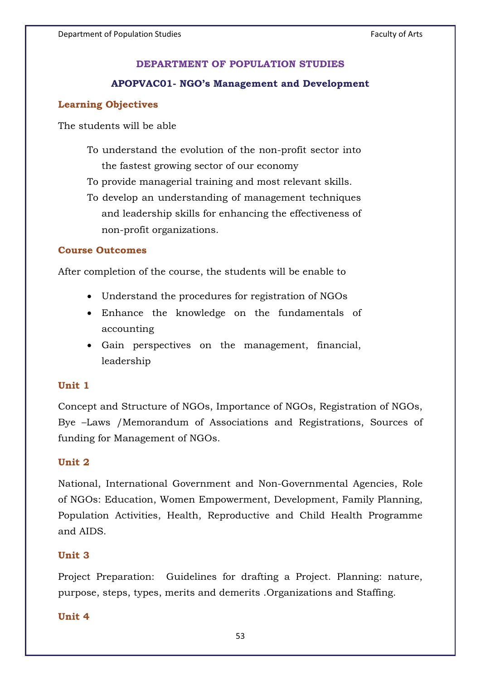## **DEPARTMENT OF POPULATION STUDIES**

## **APOPVAC01- NGO's Management and Development**

# **Learning Objectives**

The students will be able

To understand the evolution of the non-profit sector into the fastest growing sector of our economy

To provide managerial training and most relevant skills.

To develop an understanding of management techniques and leadership skills for enhancing the effectiveness of non-profit organizations.

## **Course Outcomes**

After completion of the course, the students will be enable to

- Understand the procedures for registration of NGOs
- Enhance the knowledge on the fundamentals of accounting
- Gain perspectives on the management, financial, leadership

### **Unit 1**

Concept and Structure of NGOs, Importance of NGOs, Registration of NGOs, Bye –Laws /Memorandum of Associations and Registrations, Sources of funding for Management of NGOs.

### **Unit 2**

National, International Government and Non-Governmental Agencies, Role of NGOs: Education, Women Empowerment, Development, Family Planning, Population Activities, Health, Reproductive and Child Health Programme and AIDS.

## **Unit 3**

Project Preparation: Guidelines for drafting a Project. Planning: nature, purpose, steps, types, merits and demerits .Organizations and Staffing.

## **Unit 4**